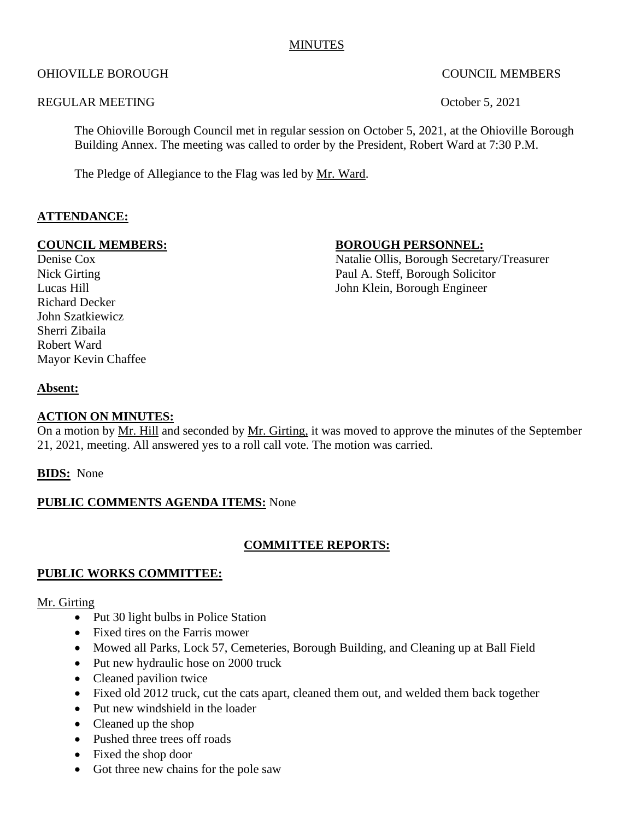## **MINUTES**

#### OHIOVILLE BOROUGH COUNCIL MEMBERS

#### REGULAR MEETING COOPERAGE CONSUMING CONSUMING CONSUMING COOPERAGE CONSUMING CONSUMING CONSUMING CONSUMING CONSUMING CONSUMING CONSUMING CONSUMING CONSUMING CONSUMING CONSUMING CONSUMING CONSUMING CONSUMING CONSUMING CONSUM

The Ohioville Borough Council met in regular session on October 5, 2021, at the Ohioville Borough Building Annex. The meeting was called to order by the President, Robert Ward at 7:30 P.M.

The Pledge of Allegiance to the Flag was led by Mr. Ward.

#### **ATTENDANCE:**

## **COUNCIL MEMBERS:** BOROUGH PERSONNEL:

Richard Decker John Szatkiewicz Sherri Zibaila Robert Ward Mayor Kevin Chaffee

Denise Cox Natalie Ollis, Borough Secretary/Treasurer Nick Girting Paul A. Steff, Borough Solicitor Lucas Hill John Klein, Borough Engineer

#### **Absent:**

#### **ACTION ON MINUTES:**

On a motion by Mr. Hill and seconded by Mr. Girting, it was moved to approve the minutes of the September 21, 2021, meeting. All answered yes to a roll call vote. The motion was carried.

**BIDS:** None

#### **PUBLIC COMMENTS AGENDA ITEMS:** None

#### **COMMITTEE REPORTS:**

#### **PUBLIC WORKS COMMITTEE:**

#### Mr. Girting

- Put 30 light bulbs in Police Station
- Fixed tires on the Farris mower
- Mowed all Parks, Lock 57, Cemeteries, Borough Building, and Cleaning up at Ball Field
- Put new hydraulic hose on 2000 truck
- Cleaned pavilion twice
- Fixed old 2012 truck, cut the cats apart, cleaned them out, and welded them back together
- Put new windshield in the loader
- Cleaned up the shop
- Pushed three trees off roads
- Fixed the shop door
- Got three new chains for the pole saw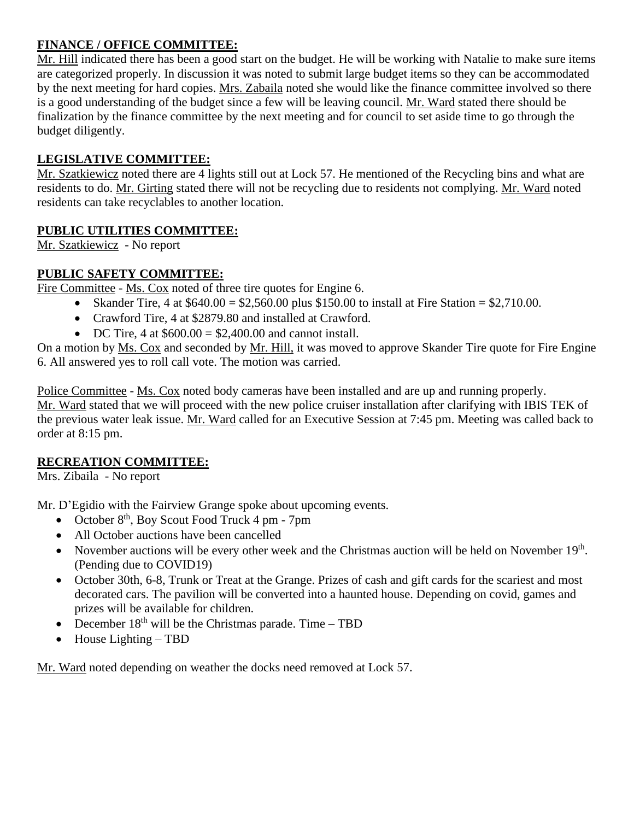# **FINANCE / OFFICE COMMITTEE:**

Mr. Hill indicated there has been a good start on the budget. He will be working with Natalie to make sure items are categorized properly. In discussion it was noted to submit large budget items so they can be accommodated by the next meeting for hard copies. Mrs. Zabaila noted she would like the finance committee involved so there is a good understanding of the budget since a few will be leaving council. Mr. Ward stated there should be finalization by the finance committee by the next meeting and for council to set aside time to go through the budget diligently.

# **LEGISLATIVE COMMITTEE:**

Mr. Szatkiewicz noted there are 4 lights still out at Lock 57. He mentioned of the Recycling bins and what are residents to do. Mr. Girting stated there will not be recycling due to residents not complying. Mr. Ward noted residents can take recyclables to another location.

# **PUBLIC UTILITIES COMMITTEE:**

Mr. Szatkiewicz - No report

# **PUBLIC SAFETY COMMITTEE:**

Fire Committee - Ms. Cox noted of three tire quotes for Engine 6.

- Skander Tire, 4 at  $$640.00 = $2,560.00$  plus \$150.00 to install at Fire Station = \$2,710.00.
	- Crawford Tire, 4 at \$2879.80 and installed at Crawford.
	- DC Tire, 4 at  $$600.00 = $2,400.00$  and cannot install.

On a motion by Ms. Cox and seconded by Mr. Hill, it was moved to approve Skander Tire quote for Fire Engine 6. All answered yes to roll call vote. The motion was carried.

Police Committee - Ms. Cox noted body cameras have been installed and are up and running properly. Mr. Ward stated that we will proceed with the new police cruiser installation after clarifying with IBIS TEK of the previous water leak issue. Mr. Ward called for an Executive Session at 7:45 pm. Meeting was called back to order at 8:15 pm.

## **RECREATION COMMITTEE:**

Mrs. Zibaila - No report

Mr. D'Egidio with the Fairview Grange spoke about upcoming events.

- October  $8<sup>th</sup>$ , Boy Scout Food Truck 4 pm 7pm
- All October auctions have been cancelled
- November auctions will be every other week and the Christmas auction will be held on November 19<sup>th</sup>. (Pending due to COVID19)
- October 30th, 6-8, Trunk or Treat at the Grange. Prizes of cash and gift cards for the scariest and most decorated cars. The pavilion will be converted into a haunted house. Depending on covid, games and prizes will be available for children.
- December  $18<sup>th</sup>$  will be the Christmas parade. Time TBD
- House Lighting TBD

Mr. Ward noted depending on weather the docks need removed at Lock 57.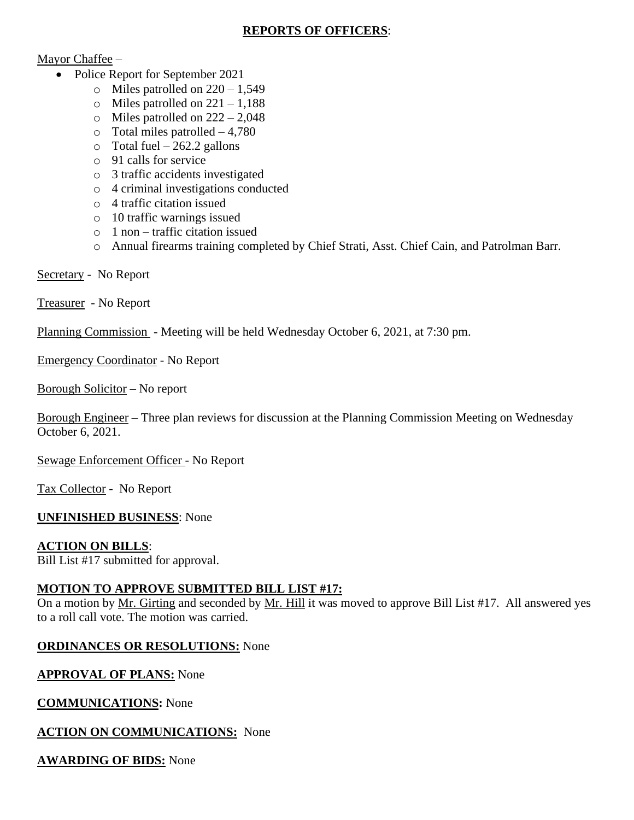# **REPORTS OF OFFICERS**:

# Mayor Chaffee –

- Police Report for September 2021
	- $\circ$  Miles patrolled on 220 1,549
	- $\circ$  Miles patrolled on 221 1,188
	- $\circ$  Miles patrolled on 222 2,048
	- o Total miles patrolled 4,780
	- $\circ$  Total fuel 262.2 gallons
	- o 91 calls for service
	- o 3 traffic accidents investigated
	- o 4 criminal investigations conducted
	- o 4 traffic citation issued
	- o 10 traffic warnings issued
	- o 1 non traffic citation issued
	- o Annual firearms training completed by Chief Strati, Asst. Chief Cain, and Patrolman Barr.

## Secretary - No Report

Treasurer - No Report

Planning Commission - Meeting will be held Wednesday October 6, 2021, at 7:30 pm.

Emergency Coordinator - No Report

Borough Solicitor – No report

Borough Engineer – Three plan reviews for discussion at the Planning Commission Meeting on Wednesday October 6, 2021.

Sewage Enforcement Officer - No Report

Tax Collector - No Report

## **UNFINISHED BUSINESS**: None

## **ACTION ON BILLS**:

Bill List #17 submitted for approval.

## **MOTION TO APPROVE SUBMITTED BILL LIST #17:**

On a motion by Mr. Girting and seconded by Mr. Hill it was moved to approve Bill List #17. All answered yes to a roll call vote. The motion was carried.

## **ORDINANCES OR RESOLUTIONS:** None

## **APPROVAL OF PLANS:** None

**COMMUNICATIONS:** None

## **ACTION ON COMMUNICATIONS:** None

**AWARDING OF BIDS:** None